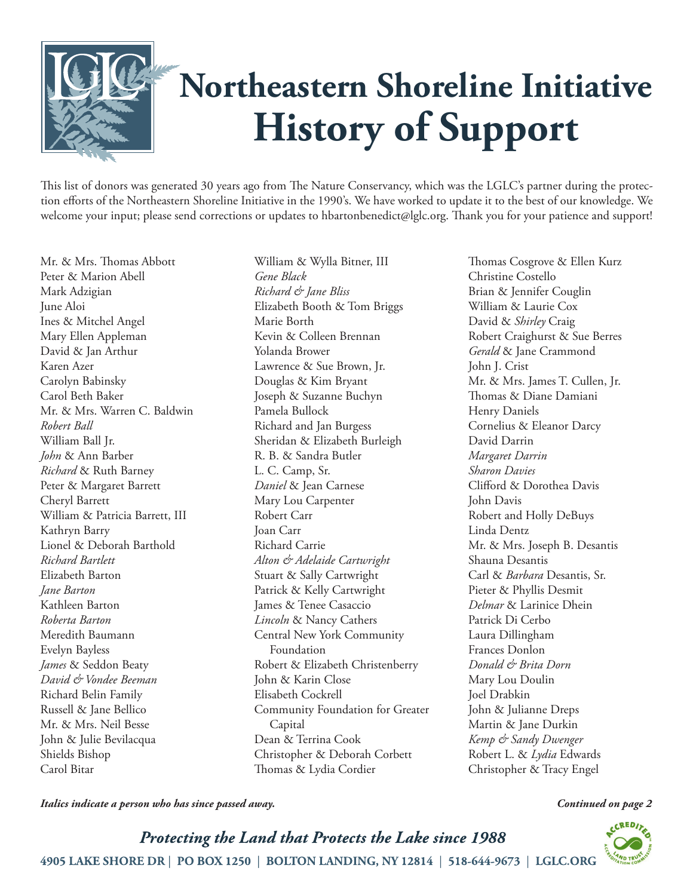

This list of donors was generated 30 years ago from The Nature Conservancy, which was the LGLC's partner during the protection efforts of the Northeastern Shoreline Initiative in the 1990's. We have worked to update it to the best of our knowledge. We welcome your input; please send corrections or updates to hbartonbenedict@lglc.org. Thank you for your patience and support!

Mr. & Mrs. Thomas Abbott Peter & Marion Abell Mark Adzigian June Aloi Ines & Mitchel Angel Mary Ellen Appleman David & Jan Arthur Karen Azer Carolyn Babinsky Carol Beth Baker Mr. & Mrs. Warren C. Baldwin *Robert Ball* William Ball Jr. *John* & Ann Barber *Richard* & Ruth Barney Peter & Margaret Barrett Cheryl Barrett William & Patricia Barrett, III Kathryn Barry Lionel & Deborah Barthold *Richard Bartlett* Elizabeth Barton *Jane Barton* Kathleen Barton *Roberta Barton* Meredith Baumann Evelyn Bayless *James* & Seddon Beaty *David & Vondee Beeman* Richard Belin Family Russell & Jane Bellico Mr. & Mrs. Neil Besse John & Julie Bevilacqua Shields Bishop Carol Bitar

William & Wylla Bitner, III *Gene Black Richard & Jane Bliss* Elizabeth Booth & Tom Briggs Marie Borth Kevin & Colleen Brennan Yolanda Brower Lawrence & Sue Brown, Jr. Douglas & Kim Bryant Joseph & Suzanne Buchyn Pamela Bullock Richard and Jan Burgess Sheridan & Elizabeth Burleigh R. B. & Sandra Butler L. C. Camp, Sr. *Daniel* & Jean Carnese Mary Lou Carpenter Robert Carr Joan Carr Richard Carrie *Alton & Adelaide Cartwright* Stuart & Sally Cartwright Patrick & Kelly Cartwright James & Tenee Casaccio *Lincoln* & Nancy Cathers Central New York Community Foundation Robert & Elizabeth Christenberry John & Karin Close Elisabeth Cockrell Community Foundation for Greater Capital Dean & Terrina Cook Christopher & Deborah Corbett Thomas & Lydia Cordier

Thomas Cosgrove & Ellen Kurz Christine Costello Brian & Jennifer Couglin William & Laurie Cox David & *Shirley* Craig Robert Craighurst & Sue Berres *Gerald* & Jane Crammond John J. Crist Mr. & Mrs. James T. Cullen, Jr. Thomas & Diane Damiani Henry Daniels Cornelius & Eleanor Darcy David Darrin *Margaret Darrin Sharon Davies* Clifford & Dorothea Davis John Davis Robert and Holly DeBuys Linda Dentz Mr. & Mrs. Joseph B. Desantis Shauna Desantis Carl & *Barbara* Desantis, Sr. Pieter & Phyllis Desmit *Delmar* & Larinice Dhein Patrick Di Cerbo Laura Dillingham Frances Donlon *Donald & Brita Dorn* Mary Lou Doulin Joel Drabkin John & Julianne Dreps Martin & Jane Durkin *Kemp & Sandy Dwenger* Robert L. & *Lydia* Edwards Christopher & Tracy Engel

*Italics indicate a person who has since passed away. Continued on page 2*

 $CREDI$ 

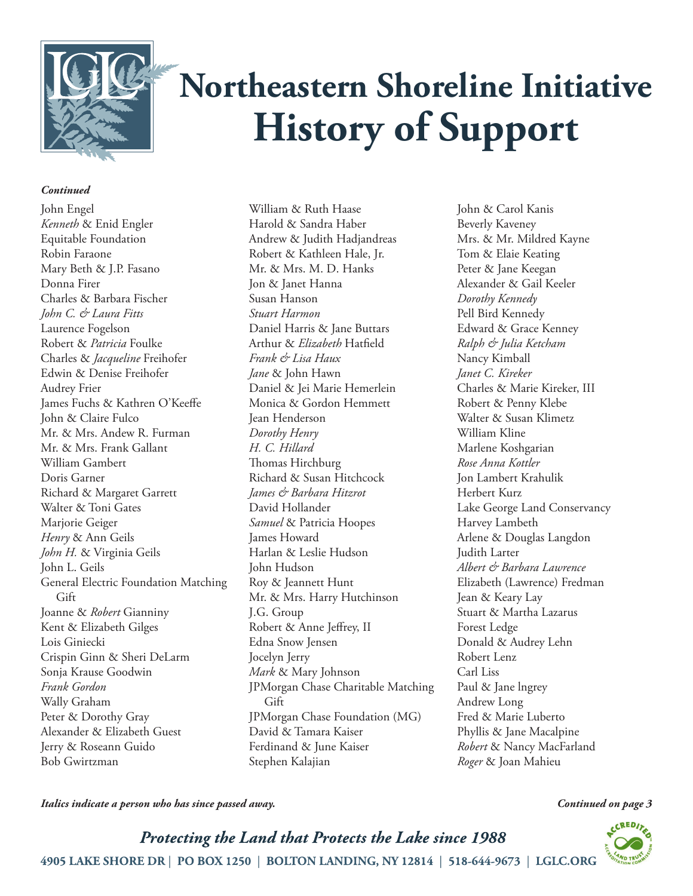

### *Continued*

John Engel *Kenneth* & Enid Engler Equitable Foundation Robin Faraone Mary Beth & J.P. Fasano Donna Firer Charles & Barbara Fischer *John C. & Laura Fitts* Laurence Fogelson Robert & *Patricia* Foulke Charles & *Jacqueline* Freihofer Edwin & Denise Freihofer Audrey Frier James Fuchs & Kathren O'Keeffe John & Claire Fulco Mr. & Mrs. Andew R. Furman Mr. & Mrs. Frank Gallant William Gambert Doris Garner Richard & Margaret Garrett Walter & Toni Gates Marjorie Geiger *Henry* & Ann Geils *John H.* & Virginia Geils John L. Geils General Electric Foundation Matching Gift Joanne & *Robert* Gianniny Kent & Elizabeth Gilges Lois Giniecki Crispin Ginn & Sheri DeLarm Sonja Krause Goodwin *Frank Gordon* Wally Graham Peter & Dorothy Gray Alexander & Elizabeth Guest Jerry & Roseann Guido Bob Gwirtzman

William & Ruth Haase Harold & Sandra Haber Andrew & Judith Hadjandreas Robert & Kathleen Hale, Jr. Mr. & Mrs. M. D. Hanks Jon & Janet Hanna Susan Hanson *Stuart Harmon* Daniel Harris & Jane Buttars Arthur & *Elizabeth* Hatfield *Frank & Lisa Haux Jane* & John Hawn Daniel & Jei Marie Hemerlein Monica & Gordon Hemmett Jean Henderson *Dorothy Henry H. C. Hillard* Thomas Hirchburg Richard & Susan Hitchcock *James & Barbara Hitzrot* David Hollander *Samuel* & Patricia Hoopes James Howard Harlan & Leslie Hudson John Hudson Roy & Jeannett Hunt Mr. & Mrs. Harry Hutchinson J.G. Group Robert & Anne Jeffrey, II Edna Snow Jensen Jocelyn Jerry *Mark* & Mary Johnson JPMorgan Chase Charitable Matching Gift JPMorgan Chase Foundation (MG) David & Tamara Kaiser Ferdinand & June Kaiser Stephen Kalajian

John & Carol Kanis Beverly Kaveney Mrs. & Mr. Mildred Kayne Tom & Elaie Keating Peter & Jane Keegan Alexander & Gail Keeler *Dorothy Kennedy* Pell Bird Kennedy Edward & Grace Kenney *Ralph & Julia Ketcham* Nancy Kimball *Janet C. Kireker* Charles & Marie Kireker, III Robert & Penny Klebe Walter & Susan Klimetz William Kline Marlene Koshgarian *Rose Anna Kottler* Jon Lambert Krahulik Herbert Kurz Lake George Land Conservancy Harvey Lambeth Arlene & Douglas Langdon Judith Larter *Albert & Barbara Lawrence* Elizabeth (Lawrence) Fredman Jean & Keary Lay Stuart & Martha Lazarus Forest Ledge Donald & Audrey Lehn Robert Lenz Carl Liss Paul & Jane lngrey Andrew Long Fred & Marie Luberto Phyllis & Jane Macalpine *Robert* & Nancy MacFarland *Roger* & Joan Mahieu

*Italics indicate a person who has since passed away.*

Protecting the Land that Protects the Lake since 1988 4905 LAKE SHORE DR | PO BOX 1250 | BOLTON LANDING, NY 12814 | 518-644-9673 | LGLC.ORG

### *Continued on page 3*

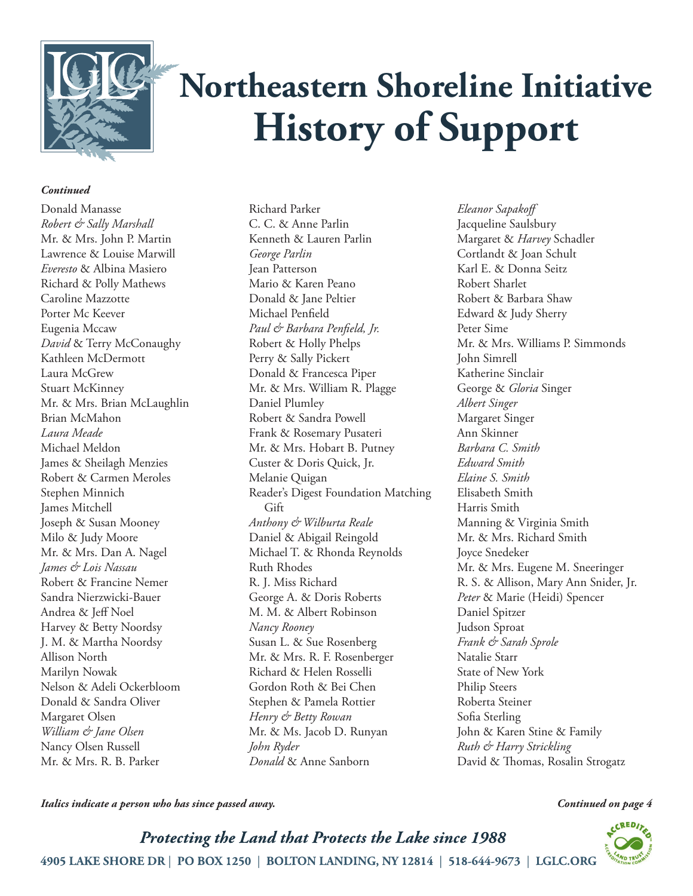

### *Continued*

Donald Manasse *Robert & Sally Marshall* Mr. & Mrs. John P. Martin Lawrence & Louise Marwill *Everesto* & Albina Masiero Richard & Polly Mathews Caroline Mazzotte Porter Mc Keever Eugenia Mccaw *David* & Terry McConaughy Kathleen McDermott Laura McGrew Stuart McKinney Mr. & Mrs. Brian McLaughlin Brian McMahon *Laura Meade* Michael Meldon James & Sheilagh Menzies Robert & Carmen Meroles Stephen Minnich James Mitchell Joseph & Susan Mooney Milo & Judy Moore Mr. & Mrs. Dan A. Nagel *James & Lois Nassau* Robert & Francine Nemer Sandra Nierzwicki-Bauer Andrea & Jeff Noel Harvey & Betty Noordsy J. M. & Martha Noordsy Allison North Marilyn Nowak Nelson & Adeli Ockerbloom Donald & Sandra Oliver Margaret Olsen *William & Jane Olsen* Nancy Olsen Russell Mr. & Mrs. R. B. Parker

Richard Parker C. C. & Anne Parlin Kenneth & Lauren Parlin *George Parlin* Jean Patterson Mario & Karen Peano Donald & Jane Peltier Michael Penfield *Paul & Barbara Penfield, Jr.* Robert & Holly Phelps Perry & Sally Pickert Donald & Francesca Piper Mr. & Mrs. William R. Plagge Daniel Plumley Robert & Sandra Powell Frank & Rosemary Pusateri Mr. & Mrs. Hobart B. Putney Custer & Doris Quick, Jr. Melanie Quigan Reader's Digest Foundation Matching Gift *Anthony & Wilburta Reale* Daniel & Abigail Reingold Michael T. & Rhonda Reynolds Ruth Rhodes R. J. Miss Richard George A. & Doris Roberts M. M. & Albert Robinson *Nancy Rooney* Susan L. & Sue Rosenberg Mr. & Mrs. R. F. Rosenberger Richard & Helen Rosselli Gordon Roth & Bei Chen Stephen & Pamela Rottier *Henry & Betty Rowan* Mr. & Ms. Jacob D. Runyan *John Ryder Donald* & Anne Sanborn

*Eleanor Sapakoff* Jacqueline Saulsbury Margaret & *Harvey* Schadler Cortlandt & Joan Schult Karl E. & Donna Seitz Robert Sharlet Robert & Barbara Shaw Edward & Judy Sherry Peter Sime Mr. & Mrs. Williams P. Simmonds John Simrell Katherine Sinclair George & *Gloria* Singer *Albert Singer* Margaret Singer Ann Skinner *Barbara C. Smith Edward Smith Elaine S. Smith* Elisabeth Smith Harris Smith Manning & Virginia Smith Mr. & Mrs. Richard Smith Joyce Snedeker Mr. & Mrs. Eugene M. Sneeringer R. S. & Allison, Mary Ann Snider, Jr. *Peter* & Marie (Heidi) Spencer Daniel Spitzer Judson Sproat *Frank & Sarah Sprole* Natalie Starr State of New York Philip Steers Roberta Steiner Sofia Sterling John & Karen Stine & Family *Ruth & Harry Strickling* David & Thomas, Rosalin Strogatz

*Italics indicate a person who has since passed away.*

*Continued on page 4*

 $CRED$